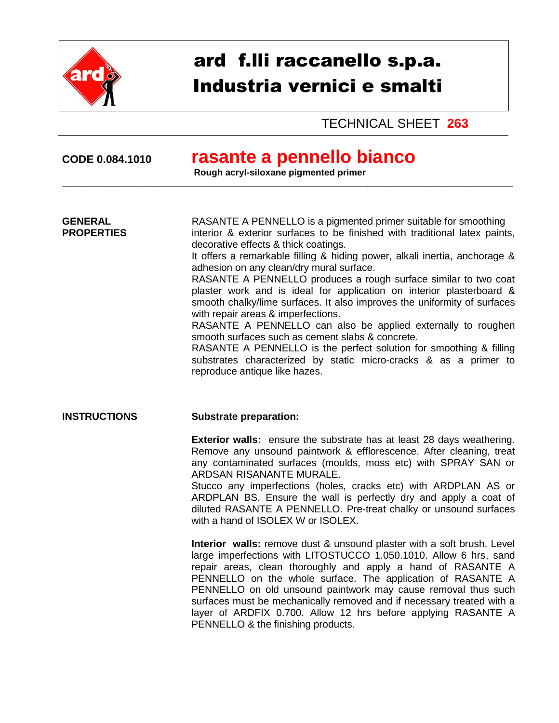

# ard f.lli raccanello s.p.a. Industria vernici e smalti

TECHNICAL SHEET **263**

## **CODE 0.084.1010 rasante a pennello bianco**

**Rough acryl-siloxane pigmented primer** 

\_\_\_\_\_\_\_\_\_\_\_\_\_\_\_\_\_\_\_\_\_\_\_\_\_\_\_\_\_\_\_\_\_\_\_\_\_\_\_\_\_\_\_\_\_\_\_\_\_\_\_\_\_\_\_\_\_\_\_\_\_\_\_\_\_\_\_\_\_\_\_\_\_\_\_\_\_\_\_\_\_\_\_\_\_\_\_\_\_\_\_\_\_\_\_\_\_\_\_

**GENERAL** RASANTE A PENNELLO is a pigmented primer suitable for smoothing<br>**PROPERTIES** interior & exterior surfaces to be finished with traditional latex paints interior & exterior surfaces to be finished with traditional latex paints, decorative effects & thick coatings.

It offers a remarkable filling & hiding power, alkali inertia, anchorage & adhesion on any clean/dry mural surface.

RASANTE A PENNELLO produces a rough surface similar to two coat plaster work and is ideal for application on interior plasterboard & smooth chalky/lime surfaces. It also improves the uniformity of surfaces with repair areas & imperfections.

RASANTE A PENNELLO can also be applied externally to roughen smooth surfaces such as cement slabs & concrete.

RASANTE A PENNELLO is the perfect solution for smoothing & filling substrates characterized by static micro-cracks & as a primer to reproduce antique like hazes.

#### **INSTRUCTIONS Substrate preparation:**

**Exterior walls:** ensure the substrate has at least 28 days weathering. Remove any unsound paintwork & efflorescence. After cleaning, treat any contaminated surfaces (moulds, moss etc) with SPRAY SAN or ARDSAN RISANANTE MURALE.

Stucco any imperfections (holes, cracks etc) with ARDPLAN AS or ARDPLAN BS. Ensure the wall is perfectly dry and apply a coat of diluted RASANTE A PENNELLO. Pre-treat chalky or unsound surfaces with a hand of ISOLEX W or ISOLEX.

**Interior walls:** remove dust & unsound plaster with a soft brush. Level large imperfections with LITOSTUCCO 1.050.1010. Allow 6 hrs, sand repair areas, clean thoroughly and apply a hand of RASANTE A PENNELLO on the whole surface. The application of RASANTE A PENNELLO on old unsound paintwork may cause removal thus such surfaces must be mechanically removed and if necessary treated with a layer of ARDFIX 0.700. Allow 12 hrs before applying RASANTE A PENNELLO & the finishing products.